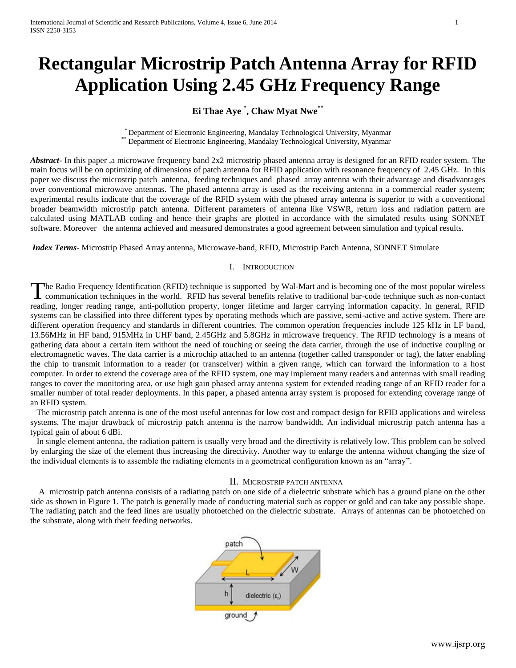# **Rectangular Microstrip Patch Antenna Array for RFID Application Using 2.45 GHz Frequency Range**

# **Ei Thae Aye \* , Chaw Myat Nwe\*\***

\* Department of Electronic Engineering, Mandalay Technological University, Myanmar \*\* Department of Electronic Engineering, Mandalay Technological University, Myanmar

*Abstract***-** In this paper ,a microwave frequency band 2x2 microstrip phased antenna array is designed for an RFID reader system. The main focus will be on optimizing of dimensions of patch antenna for RFID application with resonance frequency of 2.45 GHz. In this paper we discuss the microstrip patch antenna, feeding techniques and phased array antenna with their advantage and disadvantages over conventional microwave antennas. The phased antenna array is used as the receiving antenna in a commercial reader system; experimental results indicate that the coverage of the RFID system with the phased array antenna is superior to with a conventional broader beamwidth microstrip patch antenna. Different parameters of antenna like VSWR, return loss and radiation pattern are calculated using MATLAB coding and hence their graphs are plotted in accordance with the simulated results using SONNET software. Moreover the antenna achieved and measured demonstrates a good agreement between simulation and typical results.

*Index Terms*- Microstrip Phased Array antenna, Microwave-band, RFID, Microstrip Patch Antenna, SONNET Simulate

# I. INTRODUCTION

he Radio Frequency Identification (RFID) technique is supported by Wal-Mart and is becoming one of the most popular wireless The Radio Frequency Identification (RFID) technique is supported by Wal-Mart and is becoming one of the most popular wireless<br>communication techniques in the world. RFID has several benefits relative to traditional bar-cod reading, longer reading range, anti-pollution property, longer lifetime and larger carrying information capacity. In general, RFID systems can be classified into three different types by operating methods which are passive, semi-active and active system. There are different operation frequency and standards in different countries. The common operation frequencies include 125 kHz in LF band, 13.56MHz in HF band, 915MHz in UHF band, 2.45GHz and 5.8GHz in microwave frequency. The RFID technology is a means of gathering data about a certain item without the need of touching or seeing the data carrier, through the use of inductive coupling or electromagnetic waves. The data carrier is a microchip attached to an antenna (together called transponder or tag), the latter enabling the chip to transmit information to a reader (or transceiver) within a given range, which can forward the information to a host computer. In order to extend the coverage area of the RFID system, one may implement many readers and antennas with small reading ranges to cover the monitoring area, or use high gain phased array antenna system for extended reading range of an RFID reader for a smaller number of total reader deployments. In this paper, a phased antenna array system is proposed for extending coverage range of an RFID system.

 The microstrip patch antenna is one of the most useful antennas for low cost and compact design for RFID applications and wireless systems. The major drawback of microstrip patch antenna is the narrow bandwidth. An individual microstrip patch antenna has a typical gain of about 6 dBi.

 In single element antenna, the radiation pattern is usually very broad and the directivity is relatively low. This problem can be solved by enlarging the size of the element thus increasing the directivity. Another way to enlarge the antenna without changing the size of the individual elements is to assemble the radiating elements in a geometrical configuration known as an "array".

# II. MICROSTRIP PATCH ANTENNA

 A microstrip patch antenna consists of a radiating patch on one side of a dielectric substrate which has a ground plane on the other side as shown in Figure 1. The patch is generally made of conducting material such as copper or gold and can take any possible shape. The radiating patch and the feed lines are usually photoetched on the dielectric substrate. Arrays of antennas can be photoetched on the substrate, along with their feeding networks.



www.ijsrp.org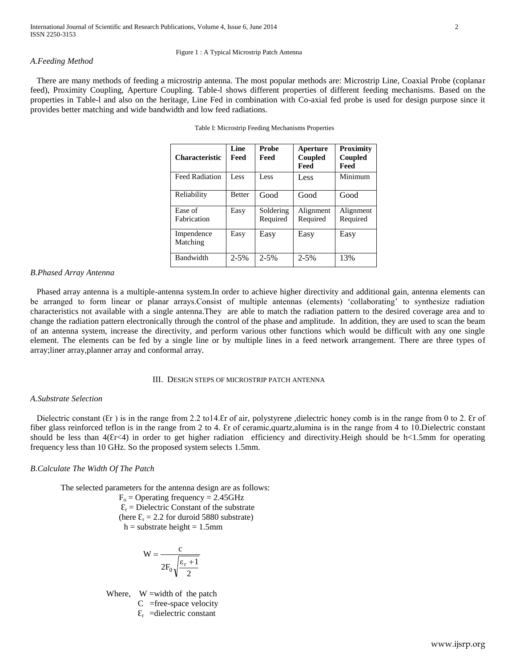#### Figure 1 : A Typical Microstrip Patch Antenna

# *A.Feeding Method*

 There are many methods of feeding a microstrip antenna. The most popular methods are: Microstrip Line, Coaxial Probe (coplanar feed), Proximity Coupling, Aperture Coupling. Table-l shows different properties of different feeding mechanisms. Based on the properties in Table-l and also on the heritage, Line Fed in combination with Co-axial fed probe is used for design purpose since it provides better matching and wide bandwidth and low feed radiations.

| <b>Characteristic</b>  | Line<br>Feed  | Probe<br>Feed         | Aperture<br>Coupled<br>Feed | Proximity<br>Coupled<br>Feed |
|------------------------|---------------|-----------------------|-----------------------------|------------------------------|
| <b>Feed Radiation</b>  | Less          | Less                  | Less                        | Minimum                      |
| Reliability            | <b>Better</b> | Good                  | Good                        | Good                         |
| Ease of<br>Fabrication | Easy          | Soldering<br>Required | Alignment<br>Required       | Alignment<br>Required        |
| Impendence<br>Matching | Easy          | Easy                  | Easy                        | Easy                         |
| Bandwidth              | $2 - 5%$      | $2 - 5%$              | $2 - 5%$                    | 13%                          |

Table I: Microstrip Feeding Mechanisms Properties

# *B.Phased Array Antenna*

 Phased array antenna is a multiple-antenna system.In order to achieve higher directivity and additional gain, antenna elements can be arranged to form linear or planar arrays.Consist of multiple antennas (elements) 'collaborating' to synthesize radiation characteristics not available with a single antenna.They are able to match the radiation pattern to the desired coverage area and to change the radiation pattern electronically through the control of the phase and amplitude. In addition, they are used to scan the beam of an antenna system, increase the directivity, and perform various other functions which would be difficult with any one single element. The elements can be fed by a single line or by multiple lines in a feed network arrangement. There are three types of array;liner array,planner array and conformal array.

#### III. DESIGN STEPS OF MICROSTRIP PATCH ANTENNA

# *A.Substrate Selection*

Dielectric constant  $(\xi r)$  is in the range from 2.2 to 14. Er of air, polystyrene, dielectric honey comb is in the range from 0 to 2. Er of fiber glass reinforced teflon is in the range from 2 to 4. Er of ceramic, quartz, alumina is in the range from 4 to 10. Dielectric constant should be less than  $4(Er<4)$  in order to get higher radiation efficiency and directivity. Heigh should be h<1.5mm for operating frequency less than 10 GHz. So the proposed system selects 1.5mm.

# *B.Calculate The Width Of The Patch*

The selected parameters for the antenna design are as follows:

 $F<sub>o</sub> =$  Operating frequency = 2.45GHz

 $\mathcal{E}_r$  = Dielectric Constant of the substrate (here  $\mathcal{E}_r = 2.2$  for duroid 5880 substrate)  $h =$  substrate height = 1.5mm

$$
W = \frac{c}{2F_0\sqrt{\frac{\epsilon_r + 1}{2}}}
$$

Where,  $W = width of the patch$ 

 $C$  =free-space velocity

 $\mathcal{E}_{r}$  =dielectric constant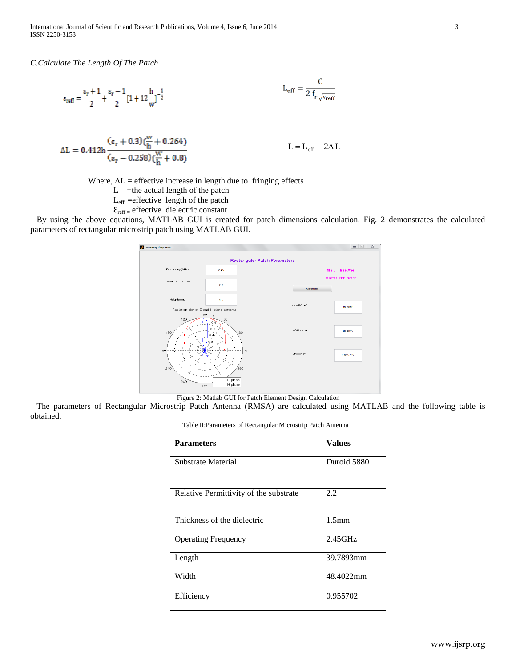International Journal of Scientific and Research Publications, Volume 4, Issue 6, June 2014 3 ISSN 2250-3153

*C.Calculate The Length Of The Patch*

$$
\epsilon_{\text{reff}} = \frac{\epsilon_r + 1}{2} + \frac{\epsilon_r - 1}{2} [1 + 12 \frac{h}{w}]^{-\frac{1}{2}}
$$

$$
\Delta L = 0.412 h \frac{(\varepsilon_r + 0.3)(\frac{W}{h} + 0.264)}{(\varepsilon_r - 0.258)(\frac{W}{h} + 0.8)}
$$
  $L = L_{eff} - 2\Delta L$ 

Where,  $\Delta L$  = effective increase in length due to fringing effects

 $L$  =the actual length of the patch

Leff =effective length of the patch

 $\mathcal{E}_{\text{reff}}$  = effective dielectric constant

 By using the above equations, MATLAB GUI is created for patch dimensions calculation. Fig. 2 demonstrates the calculated parameters of rectangular microstrip patch using MATLAB GUI.

 $\epsilon$ 



Figure 2: Matlab GUI for Patch Element Design Calculation

 The parameters of Rectangular Microstrip Patch Antenna (RMSA) are calculated using MATLAB and the following table is obtained.

Table II:Parameters of Rectangular Microstrip Patch Antenna

| <b>Parameters</b>                      | <b>Values</b>     |  |
|----------------------------------------|-------------------|--|
| Substrate Material                     | Duroid 5880       |  |
| Relative Permittivity of the substrate | 2.2               |  |
| Thickness of the dielectric            | 1.5 <sub>mm</sub> |  |
| <b>Operating Frequency</b>             | $2.45$ GHz        |  |
| Length                                 | 39.7893mm         |  |
| Width                                  | 48.4022mm         |  |
| Efficiency                             | 0.955702          |  |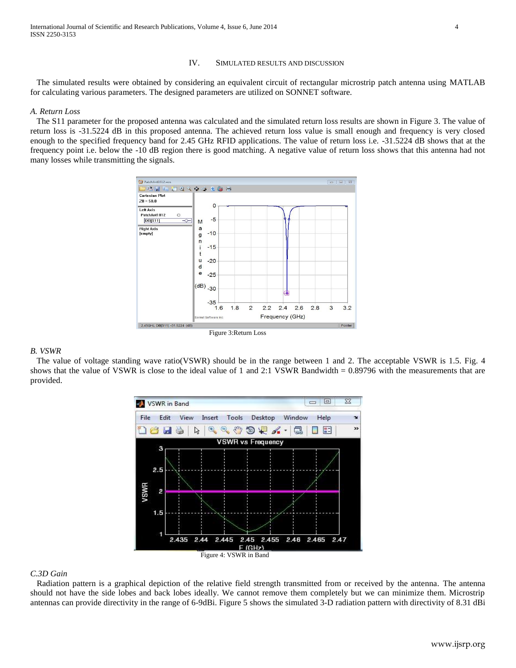# IV. SIMULATED RESULTS AND DISCUSSION

 The simulated results were obtained by considering an equivalent circuit of rectangular microstrip patch antenna using MATLAB for calculating various parameters. The designed parameters are utilized on SONNET software.

# *A. Return Loss*

 The S11 parameter for the proposed antenna was calculated and the simulated return loss results are shown in Figure 3. The value of return loss is -31.5224 dB in this proposed antenna. The achieved return loss value is small enough and frequency is very closed enough to the specified frequency band for 2.45 GHz RFID applications. The value of return loss i.e. -31.5224 dB shows that at the frequency point i.e. below the -10 dB region there is good matching. A negative value of return loss shows that this antenna had not many losses while transmitting the signals.



#### *B. VSWR*

 The value of voltage standing wave ratio(VSWR) should be in the range between 1 and 2. The acceptable VSWR is 1.5. Fig. 4 shows that the value of VSWR is close to the ideal value of 1 and 2:1 VSWR Bandwidth = 0.89796 with the measurements that are provided.



### *C.3D Gain*

 Radiation pattern is a graphical depiction of the relative field strength transmitted from or received by the antenna. The antenna should not have the side lobes and back lobes ideally. We cannot remove them completely but we can minimize them. Microstrip antennas can provide directivity in the range of 6-9dBi. Figure 5 shows the simulated 3-D radiation pattern with directivity of 8.31 dBi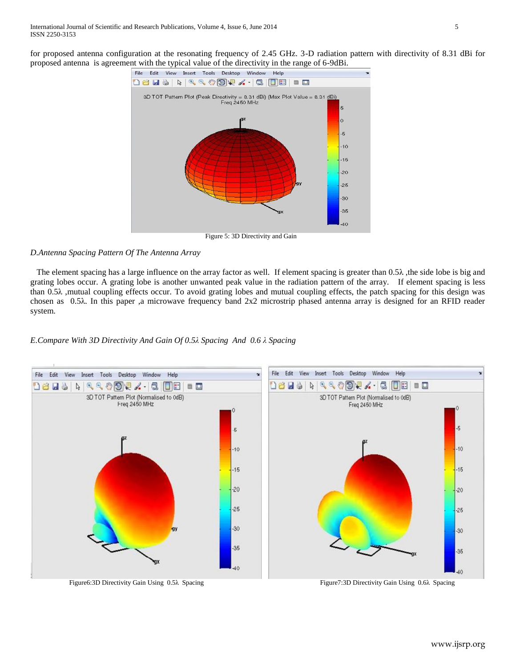for proposed antenna configuration at the resonating frequency of 2.45 GHz. 3-D radiation pattern with directivity of 8.31 dBi for proposed antenna is agreement with the typical value of the directivity in the range of 6-9dBi.



Figure 5: 3D Directivity and Gain

# *D.Antenna Spacing Pattern Of The Antenna Array*

The element spacing has a large influence on the array factor as well. If element spacing is greater than  $0.5\lambda$ , the side lobe is big and grating lobes occur. A grating lobe is another unwanted peak value in the radiation pattern of the array. If element spacing is less than 0.5λ ,mutual coupling effects occur. To avoid grating lobes and mutual coupling effects, the patch spacing for this design was chosen as 0.5λ. In this paper ,a microwave frequency band 2x2 microstrip phased antenna array is designed for an RFID reader system.

# *E.Compare With 3D Directivity And Gain Of 0.5λ Spacing And 0.6 λ Spacing*



www.ijsrp.org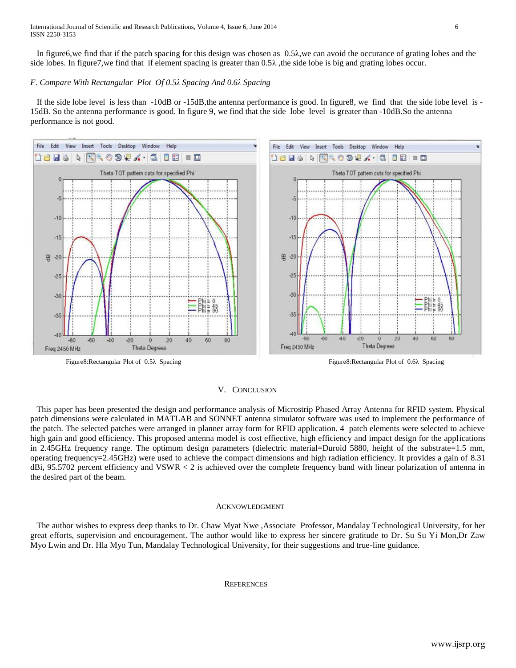In figure6,we find that if the patch spacing for this design was chosen as 0.5λ,we can avoid the occurance of grating lobes and the side lobes. In figure 7, we find that if element spacing is greater than  $0.5\lambda$ , the side lobe is big and grating lobes occur.

# *F. Compare With Rectangular Plot Of 0.5λ Spacing And 0.6λ Spacing*

 If the side lobe level is less than -10dB or -15dB,the antenna performance is good. In figure8, we find that the side lobe level is - 15dB. So the antenna performance is good. In figure 9, we find that the side lobe level is greater than -10dB.So the antenna performance is not good.



# V. CONCLUSION

 This paper has been presented the design and performance analysis of Microstrip Phased Array Antenna for RFID system. Physical patch dimensions were calculated in MATLAB and SONNET antenna simulator software was used to implement the performance of the patch. The selected patches were arranged in planner array form for RFID application. 4 patch elements were selected to achieve high gain and good efficiency. This proposed antenna model is cost effiective, high efficiency and impact design for the applications in 2.45GHz frequency range. The optimum design parameters (dielectric material=Duroid 5880, height of the substrate=1.5 mm, operating frequency=2.45GHz) were used to achieve the compact dimensions and high radiation efficiency. It provides a gain of 8.31 dBi, 95.5702 percent efficiency and VSWR < 2 is achieved over the complete frequency band with linear polarization of antenna in the desired part of the beam.

#### ACKNOWLEDGMENT

 The author wishes to express deep thanks to Dr. Chaw Myat Nwe ,Associate Professor, Mandalay Technological University, for her great efforts, supervision and encouragement. The author would like to express her sincere gratitude to Dr. Su Su Yi Mon,Dr Zaw Myo Lwin and Dr. Hla Myo Tun, Mandalay Technological University, for their suggestions and true-line guidance.

### **REFERENCES**